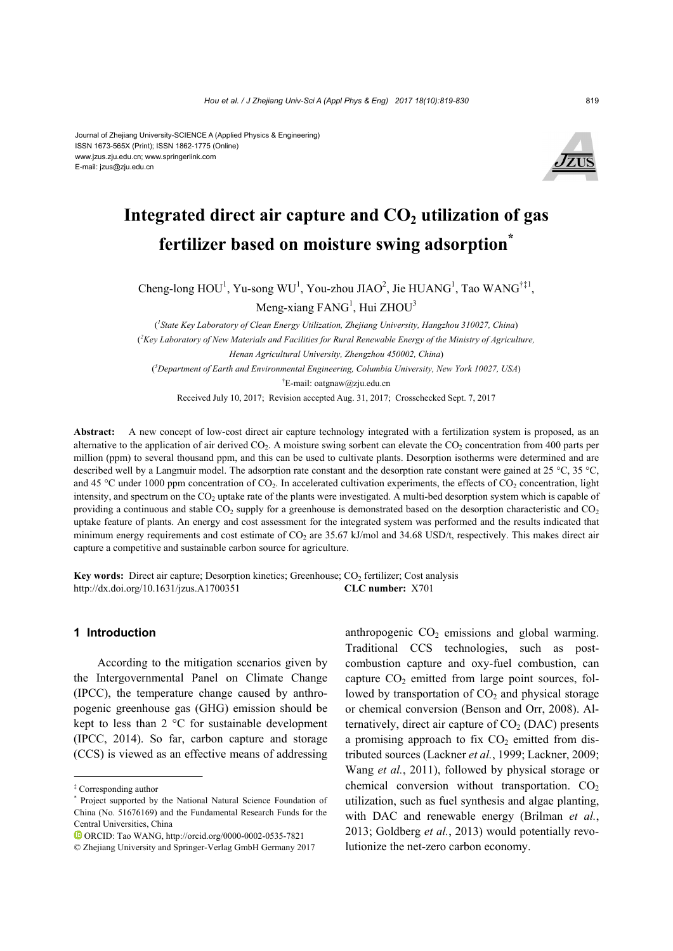#### Journal of Zhejiang University-SCIENCE A (Applied Physics & Engineering) ISSN 1673-565X (Print); ISSN 1862-1775 (Online) www.jzus.zju.edu.cn; www.springerlink.com E-mail: jzus@zju.edu.cn



# Integrated direct air capture and  $CO<sub>2</sub>$  utilization of gas **fertilizer based on moisture swing adsorption\***

Cheng-long  $HOU<sup>1</sup>$ , Yu-song WU<sup>1</sup>, You-zhou JIAO<sup>2</sup>, Jie HUANG<sup>1</sup>, Tao WANG<sup>†‡1</sup>, Meng-xiang FANG<sup>1</sup>, Hui ZHOU<sup>3</sup>

( *1 State Key Laboratory of Clean Energy Utilization, Zhejiang University, Hangzhou 310027, China*) ( *2 Key Laboratory of New Materials and Facilities for Rural Renewable Energy of the Ministry of Agriculture, Henan Agricultural University, Zhengzhou 450002, China*) ( *3 Department of Earth and Environmental Engineering, Columbia University, New York 10027, USA*) † E-mail: oatgnaw@zju.edu.cn

Received July 10, 2017; Revision accepted Aug. 31, 2017; Crosschecked Sept. 7, 2017

Abstract: A new concept of low-cost direct air capture technology integrated with a fertilization system is proposed, as an alternative to the application of air derived  $CO<sub>2</sub>$ . A moisture swing sorbent can elevate the  $CO<sub>2</sub>$  concentration from 400 parts per million (ppm) to several thousand ppm, and this can be used to cultivate plants. Desorption isotherms were determined and are described well by a Langmuir model. The adsorption rate constant and the desorption rate constant were gained at 25 °C, 35 °C, and 45 °C under 1000 ppm concentration of  $CO<sub>2</sub>$ . In accelerated cultivation experiments, the effects of  $CO<sub>2</sub>$  concentration, light intensity, and spectrum on the  $CO<sub>2</sub>$  uptake rate of the plants were investigated. A multi-bed desorption system which is capable of providing a continuous and stable  $CO_2$  supply for a greenhouse is demonstrated based on the desorption characteristic and  $CO_2$ uptake feature of plants. An energy and cost assessment for the integrated system was performed and the results indicated that minimum energy requirements and cost estimate of  $CO<sub>2</sub>$  are 35.67 kJ/mol and 34.68 USD/t, respectively. This makes direct air capture a competitive and sustainable carbon source for agriculture.

**Key words:** Direct air capture; Desorption kinetics; Greenhouse; CO<sub>2</sub> fertilizer; Cost analysis http://dx.doi.org/10.1631/jzus.A1700351 **CLC number:** X701

### **1 Introduction**

According to the mitigation scenarios given by the Intergovernmental Panel on Climate Change (IPCC), the temperature change caused by anthropogenic greenhouse gas (GHG) emission should be kept to less than 2 °C for sustainable development (IPCC, 2014). So far, carbon capture and storage (CCS) is viewed as an effective means of addressing

anthropogenic  $CO<sub>2</sub>$  emissions and global warming. Traditional CCS technologies, such as postcombustion capture and oxy-fuel combustion, can capture  $CO<sub>2</sub>$  emitted from large point sources, followed by transportation of  $CO<sub>2</sub>$  and physical storage or chemical conversion (Benson and Orr, 2008). Alternatively, direct air capture of  $CO<sub>2</sub>$  (DAC) presents a promising approach to fix  $CO<sub>2</sub>$  emitted from distributed sources (Lackner *et al.*, 1999; Lackner, 2009; Wang *et al.*, 2011), followed by physical storage or chemical conversion without transportation.  $CO<sub>2</sub>$ utilization, such as fuel synthesis and algae planting, with DAC and renewable energy (Brilman *et al.*, 2013; Goldberg *et al.*, 2013) would potentially revolutionize the net-zero carbon economy.

<sup>‡</sup> Corresponding author

<sup>\*</sup> Project supported by the National Natural Science Foundation of China (No. 51676169) and the Fundamental Research Funds for the Central Universities, China

ORCID: Tao WANG, http://orcid.org/0000-0002-0535-7821

<sup>©</sup> Zhejiang University and Springer-Verlag GmbH Germany 2017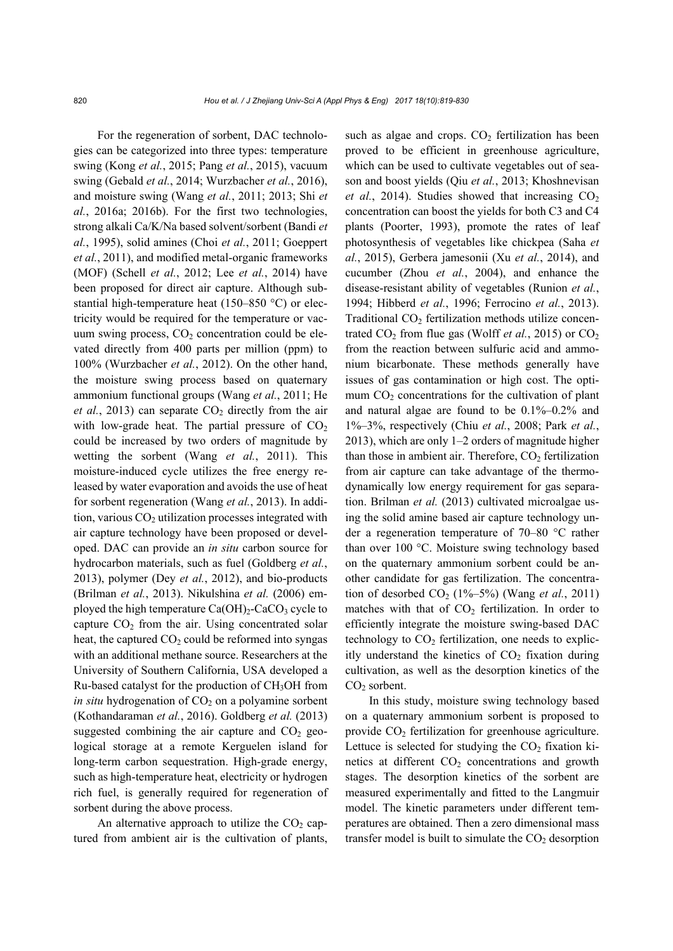For the regeneration of sorbent, DAC technologies can be categorized into three types: temperature swing (Kong *et al.*, 2015; Pang *et al.*, 2015), vacuum swing (Gebald *et al.*, 2014; Wurzbacher *et al.*, 2016), and moisture swing (Wang *et al.*, 2011; 2013; Shi *et al.*, 2016a; 2016b). For the first two technologies, strong alkali Ca/K/Na based solvent/sorbent (Bandi *et al.*, 1995), solid amines (Choi *et al.*, 2011; Goeppert *et al.*, 2011), and modified metal-organic frameworks (MOF) (Schell *et al.*, 2012; Lee *et al.*, 2014) have been proposed for direct air capture. Although substantial high-temperature heat (150–850 °C) or electricity would be required for the temperature or vacuum swing process,  $CO<sub>2</sub>$  concentration could be elevated directly from 400 parts per million (ppm) to 100% (Wurzbacher *et al.*, 2012). On the other hand, the moisture swing process based on quaternary ammonium functional groups (Wang *et al.*, 2011; He *et al.*, 2013) can separate  $CO<sub>2</sub>$  directly from the air with low-grade heat. The partial pressure of  $CO<sub>2</sub>$ could be increased by two orders of magnitude by wetting the sorbent (Wang *et al.*, 2011). This moisture-induced cycle utilizes the free energy released by water evaporation and avoids the use of heat for sorbent regeneration (Wang *et al.*, 2013). In addition, various  $CO<sub>2</sub>$  utilization processes integrated with air capture technology have been proposed or developed. DAC can provide an *in situ* carbon source for hydrocarbon materials, such as fuel (Goldberg *et al.*, 2013), polymer (Dey *et al.*, 2012), and bio-products (Brilman *et al.*, 2013). Nikulshina *et al.* (2006) employed the high temperature  $Ca(OH)_2$ -CaCO<sub>3</sub> cycle to capture  $CO<sub>2</sub>$  from the air. Using concentrated solar heat, the captured  $CO<sub>2</sub>$  could be reformed into syngas with an additional methane source. Researchers at the University of Southern California, USA developed a Ru-based catalyst for the production of CH3OH from *in situ* hydrogenation of  $CO<sub>2</sub>$  on a polyamine sorbent (Kothandaraman *et al.*, 2016). Goldberg *et al.* (2013) suggested combining the air capture and  $CO<sub>2</sub>$  geological storage at a remote Kerguelen island for long-term carbon sequestration. High-grade energy, such as high-temperature heat, electricity or hydrogen rich fuel, is generally required for regeneration of sorbent during the above process.

An alternative approach to utilize the  $CO<sub>2</sub>$  captured from ambient air is the cultivation of plants, such as algae and crops.  $CO<sub>2</sub>$  fertilization has been proved to be efficient in greenhouse agriculture, which can be used to cultivate vegetables out of season and boost yields (Qiu *et al.*, 2013; Khoshnevisan *et al.*, 2014). Studies showed that increasing  $CO<sub>2</sub>$ concentration can boost the yields for both C3 and C4 plants (Poorter, 1993), promote the rates of leaf photosynthesis of vegetables like chickpea (Saha *et al.*, 2015), Gerbera jamesonii (Xu *et al.*, 2014), and cucumber (Zhou *et al.*, 2004), and enhance the disease-resistant ability of vegetables (Runion *et al.*, 1994; Hibberd *et al.*, 1996; Ferrocino *et al.*, 2013). Traditional  $CO<sub>2</sub>$  fertilization methods utilize concentrated  $CO_2$  from flue gas (Wolff *et al.*, 2015) or  $CO_2$ from the reaction between sulfuric acid and ammonium bicarbonate. These methods generally have issues of gas contamination or high cost. The optimum  $CO<sub>2</sub>$  concentrations for the cultivation of plant and natural algae are found to be 0.1%–0.2% and 1%–3%, respectively (Chiu *et al.*, 2008; Park *et al.*, 2013), which are only 1–2 orders of magnitude higher than those in ambient air. Therefore,  $CO<sub>2</sub>$  fertilization from air capture can take advantage of the thermodynamically low energy requirement for gas separation. Brilman *et al.* (2013) cultivated microalgae using the solid amine based air capture technology under a regeneration temperature of 70–80 °C rather than over 100 °C. Moisture swing technology based on the quaternary ammonium sorbent could be another candidate for gas fertilization. The concentration of desorbed  $CO_2$  (1%–5%) (Wang *et al.*, 2011) matches with that of  $CO<sub>2</sub>$  fertilization. In order to efficiently integrate the moisture swing-based DAC technology to  $CO<sub>2</sub>$  fertilization, one needs to explicitly understand the kinetics of  $CO<sub>2</sub>$  fixation during cultivation, as well as the desorption kinetics of the  $CO<sub>2</sub>$  sorbent.

In this study, moisture swing technology based on a quaternary ammonium sorbent is proposed to provide  $CO<sub>2</sub>$  fertilization for greenhouse agriculture. Lettuce is selected for studying the  $CO<sub>2</sub>$  fixation kinetics at different  $CO<sub>2</sub>$  concentrations and growth stages. The desorption kinetics of the sorbent are measured experimentally and fitted to the Langmuir model. The kinetic parameters under different temperatures are obtained. Then a zero dimensional mass transfer model is built to simulate the  $CO<sub>2</sub>$  desorption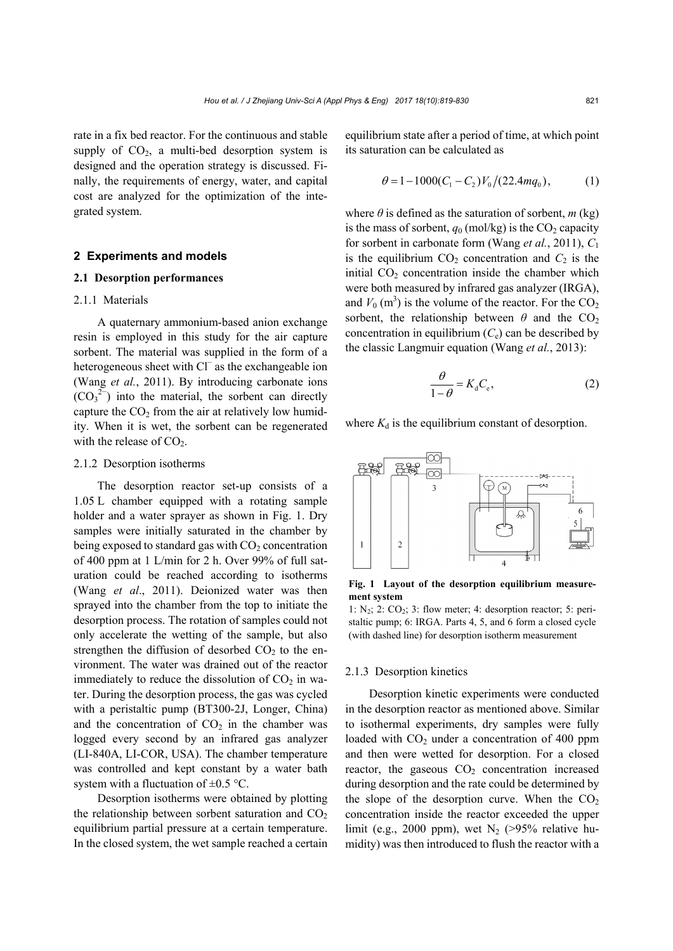rate in a fix bed reactor. For the continuous and stable supply of  $CO<sub>2</sub>$ , a multi-bed desorption system is designed and the operation strategy is discussed. Finally, the requirements of energy, water, and capital cost are analyzed for the optimization of the integrated system.

# **2 Experiments and models**

# **2.1 Desorption performances**

# 2.1.1 Materials

A quaternary ammonium-based anion exchange resin is employed in this study for the air capture sorbent. The material was supplied in the form of a heterogeneous sheet with Cl<sup>−</sup> as the exchangeable ion (Wang *et al.*, 2011). By introducing carbonate ions  $(CO_3^2$  into the material, the sorbent can directly capture the  $CO<sub>2</sub>$  from the air at relatively low humidity. When it is wet, the sorbent can be regenerated with the release of  $CO<sub>2</sub>$ .

# 2.1.2 Desorption isotherms

The desorption reactor set-up consists of a 1.05 L chamber equipped with a rotating sample holder and a water sprayer as shown in Fig. 1. Dry samples were initially saturated in the chamber by being exposed to standard gas with  $CO<sub>2</sub>$  concentration of 400 ppm at 1 L/min for 2 h. Over 99% of full saturation could be reached according to isotherms (Wang *et al*., 2011). Deionized water was then sprayed into the chamber from the top to initiate the desorption process. The rotation of samples could not only accelerate the wetting of the sample, but also strengthen the diffusion of desorbed  $CO<sub>2</sub>$  to the environment. The water was drained out of the reactor immediately to reduce the dissolution of  $CO<sub>2</sub>$  in water. During the desorption process, the gas was cycled with a peristaltic pump (BT300-2J, Longer, China) and the concentration of  $CO<sub>2</sub>$  in the chamber was logged every second by an infrared gas analyzer (LI-840A, LI-COR, USA). The chamber temperature was controlled and kept constant by a water bath system with a fluctuation of  $\pm 0.5$  °C.

Desorption isotherms were obtained by plotting the relationship between sorbent saturation and  $CO<sub>2</sub>$ equilibrium partial pressure at a certain temperature. In the closed system, the wet sample reached a certain

equilibrium state after a period of time, at which point its saturation can be calculated as

$$
\theta = 1 - 1000(C_1 - C_2)V_0/(22.4mq_0), \tag{1}
$$

where  $\theta$  is defined as the saturation of sorbent,  $m$  (kg) is the mass of sorbent,  $q_0$  (mol/kg) is the  $CO_2$  capacity for sorbent in carbonate form (Wang *et al.*, 2011), *C*<sup>1</sup> is the equilibrium  $CO<sub>2</sub>$  concentration and  $C<sub>2</sub>$  is the initial  $CO<sub>2</sub>$  concentration inside the chamber which were both measured by infrared gas analyzer (IRGA), and  $V_0$  (m<sup>3</sup>) is the volume of the reactor. For the  $CO_2$ sorbent, the relationship between  $\theta$  and the CO<sub>2</sub> concentration in equilibrium  $(C_e)$  can be described by the classic Langmuir equation (Wang *et al.*, 2013):

$$
\frac{\theta}{1-\theta} = K_{\rm d}C_{\rm e},\tag{2}
$$

where  $K_d$  is the equilibrium constant of desorption.



**Fig. 1 Layout of the desorption equilibrium measurement system** 

1:  $N_2$ ; 2:  $CO_2$ ; 3: flow meter; 4: desorption reactor; 5: peristaltic pump; 6: IRGA. Parts 4, 5, and 6 form a closed cycle (with dashed line) for desorption isotherm measurement

# 2.1.3 Desorption kinetics

Desorption kinetic experiments were conducted in the desorption reactor as mentioned above. Similar to isothermal experiments, dry samples were fully loaded with  $CO<sub>2</sub>$  under a concentration of 400 ppm and then were wetted for desorption. For a closed reactor, the gaseous  $CO<sub>2</sub>$  concentration increased during desorption and the rate could be determined by the slope of the desorption curve. When the  $CO<sub>2</sub>$ concentration inside the reactor exceeded the upper limit (e.g., 2000 ppm), wet  $N_2$  (>95% relative humidity) was then introduced to flush the reactor with a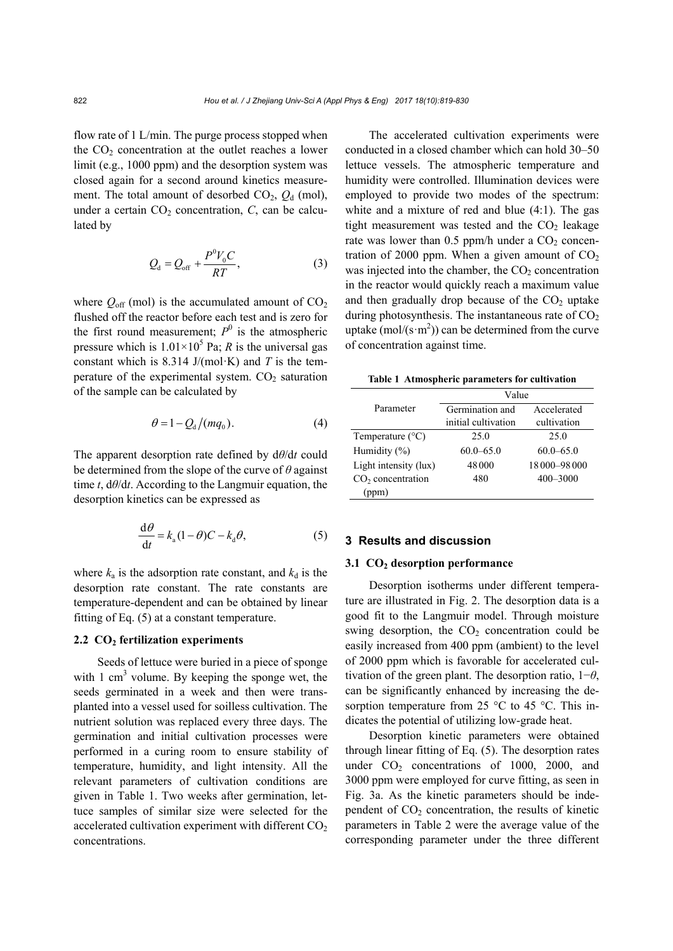flow rate of 1 L/min. The purge process stopped when the  $CO<sub>2</sub>$  concentration at the outlet reaches a lower limit (e.g., 1000 ppm) and the desorption system was closed again for a second around kinetics measurement. The total amount of desorbed  $CO<sub>2</sub>$ ,  $O<sub>d</sub>$  (mol), under a certain  $CO<sub>2</sub>$  concentration,  $C$ , can be calculated by

$$
Q_{\rm d} = Q_{\rm off} + \frac{P^0 V_0 C}{RT},\tag{3}
$$

where  $Q_{\text{off}}$  (mol) is the accumulated amount of  $CO<sub>2</sub>$ flushed off the reactor before each test and is zero for the first round measurement;  $P^0$  is the atmospheric pressure which is  $1.01 \times 10^5$  Pa; *R* is the universal gas constant which is 8.314 J/(mol·K) and *T* is the temperature of the experimental system.  $CO<sub>2</sub>$  saturation of the sample can be calculated by

$$
\theta = 1 - Q_{\rm d} / (m q_{\rm o}). \tag{4}
$$

The apparent desorption rate defined by d*θ*/d*t* could be determined from the slope of the curve of *θ* against time *t*, d*θ*/d*t*. According to the Langmuir equation, the desorption kinetics can be expressed as

$$
\frac{\mathrm{d}\theta}{\mathrm{d}t} = k_{\mathrm{a}}(1-\theta)C - k_{\mathrm{d}}\theta,\tag{5}
$$

where  $k_a$  is the adsorption rate constant, and  $k_d$  is the desorption rate constant. The rate constants are temperature-dependent and can be obtained by linear fitting of Eq. (5) at a constant temperature.

#### 2.2 CO<sub>2</sub> fertilization experiments

Seeds of lettuce were buried in a piece of sponge with 1  $\text{cm}^3$  volume. By keeping the sponge wet, the seeds germinated in a week and then were transplanted into a vessel used for soilless cultivation. The nutrient solution was replaced every three days. The germination and initial cultivation processes were performed in a curing room to ensure stability of temperature, humidity, and light intensity. All the relevant parameters of cultivation conditions are given in Table 1. Two weeks after germination, lettuce samples of similar size were selected for the accelerated cultivation experiment with different  $CO<sub>2</sub>$ concentrations.

The accelerated cultivation experiments were conducted in a closed chamber which can hold 30–50 lettuce vessels. The atmospheric temperature and humidity were controlled. Illumination devices were employed to provide two modes of the spectrum: white and a mixture of red and blue (4:1). The gas tight measurement was tested and the  $CO<sub>2</sub>$  leakage rate was lower than  $0.5$  ppm/h under a  $CO<sub>2</sub>$  concentration of 2000 ppm. When a given amount of  $CO<sub>2</sub>$ was injected into the chamber, the  $CO<sub>2</sub>$  concentration in the reactor would quickly reach a maximum value and then gradually drop because of the  $CO<sub>2</sub>$  uptake during photosynthesis. The instantaneous rate of  $CO<sub>2</sub>$ uptake  $(mol/(s·m^2))$  can be determined from the curve of concentration against time.

**Table 1 Atmospheric parameters for cultivation** 

|                               | Value               |                 |  |  |
|-------------------------------|---------------------|-----------------|--|--|
| Parameter                     | Germination and     | Accelerated     |  |  |
|                               | initial cultivation | cultivation     |  |  |
| Temperature $(^{\circ}C)$     | 25.0                | 25.0            |  |  |
| Humidity $(\% )$              | $60.0 - 65.0$       | $60.0 - 65.0$   |  |  |
| Light intensity (lux)         | 48000               | 18 000 - 98 000 |  |  |
| CO <sub>2</sub> concentration | 480                 | $400 - 3000$    |  |  |
| (ppm)                         |                     |                 |  |  |

# **3 Results and discussion**

#### **3.1 CO<sub>2</sub>** desorption performance

Desorption isotherms under different temperature are illustrated in Fig. 2. The desorption data is a good fit to the Langmuir model. Through moisture swing desorption, the  $CO<sub>2</sub>$  concentration could be easily increased from 400 ppm (ambient) to the level of 2000 ppm which is favorable for accelerated cultivation of the green plant. The desorption ratio, 1−*θ*, can be significantly enhanced by increasing the desorption temperature from 25 °C to 45 °C. This indicates the potential of utilizing low-grade heat.

Desorption kinetic parameters were obtained through linear fitting of Eq. (5). The desorption rates under  $CO<sub>2</sub>$  concentrations of 1000, 2000, and 3000 ppm were employed for curve fitting, as seen in Fig. 3a. As the kinetic parameters should be independent of  $CO<sub>2</sub>$  concentration, the results of kinetic parameters in Table 2 were the average value of the corresponding parameter under the three different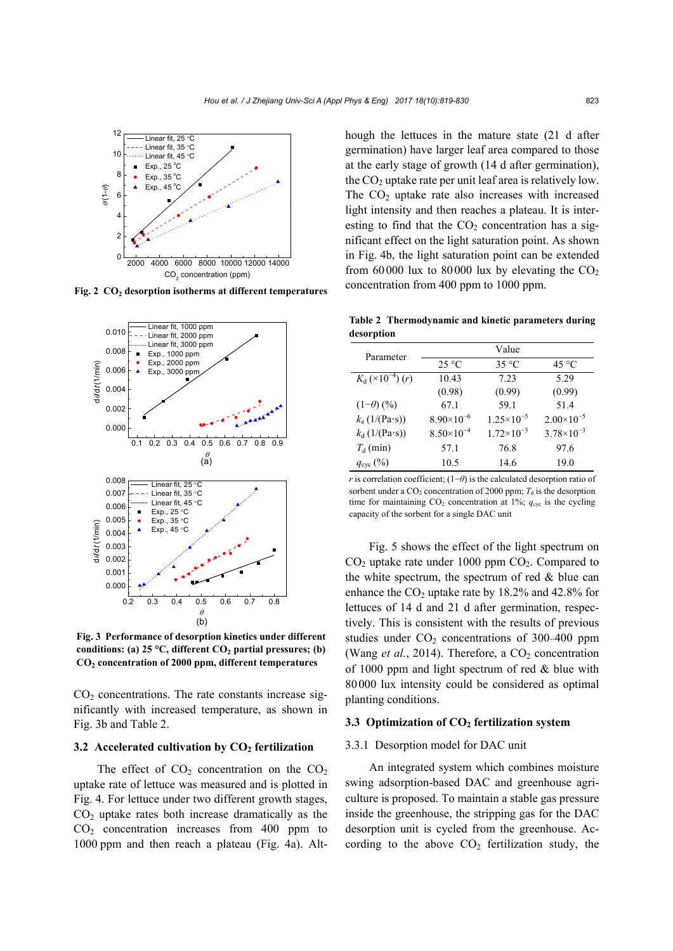

Fig. 2 CO<sub>2</sub> desorption isotherms at different temperatures



**Fig. 3 Performance of desorption kinetics under different**  conditions: (a) 25 °C, different CO<sub>2</sub> partial pressures; (b) **CO2 concentration of 2000 ppm, different temperatures**

 $CO<sub>2</sub>$  concentrations. The rate constants increase significantly with increased temperature, as shown in Fig. 3b and Table 2.

#### **3.2** Accelerated cultivation by CO<sub>2</sub> fertilization

The effect of  $CO<sub>2</sub>$  concentration on the  $CO<sub>2</sub>$ uptake rate of lettuce was measured and is plotted in Fig. 4. For lettuce under two different growth stages,  $CO<sub>2</sub>$  uptake rates both increase dramatically as the  $CO<sub>2</sub>$  concentration increases from 400 ppm to 1000 ppm and then reach a plateau (Fig. 4a). Although the lettuces in the mature state (21 d after germination) have larger leaf area compared to those at the early stage of growth (14 d after germination), the  $CO<sub>2</sub>$  uptake rate per unit leaf area is relatively low. The  $CO<sub>2</sub>$  uptake rate also increases with increased light intensity and then reaches a plateau. It is interesting to find that the  $CO<sub>2</sub>$  concentration has a significant effect on the light saturation point. As shown in Fig. 4b, the light saturation point can be extended from 60000 lux to 80000 lux by elevating the  $CO<sub>2</sub>$ concentration from 400 ppm to 1000 ppm.

**Table 2 Thermodynamic and kinetic parameters during desorption** 

| Parameter                                     | Value               |                       |                       |  |  |
|-----------------------------------------------|---------------------|-----------------------|-----------------------|--|--|
|                                               | $25^{\circ}$ C      | $35^{\circ}$ C        | $45^{\circ}$ C        |  |  |
| $K_{\rm d}$ (×10 <sup>-4</sup> ) ( <i>r</i> ) | 10.43               | 7.23                  | 5.29                  |  |  |
|                                               | (0.98)              | (0.99)                | (0.99)                |  |  |
| $(1-\theta)$ (%)                              | 67.1                | 59.1                  | 51.4                  |  |  |
| $k_a(1/(Pa \cdot s))$                         | $8.90\times10^{-6}$ | $1.25 \times 10^{-5}$ | $2.00\times10^{-5}$   |  |  |
| $k_d$ (1/(Pa·s))                              | $8.50\times10^{-4}$ | $1.72\times10^{-3}$   | $3.78 \times 10^{-3}$ |  |  |
| $T_{d}$ (min)                                 | 57.1                | 76.8                  | 97.6                  |  |  |
| $q_{\rm cyc}$ (%)                             | 10.5                | 14.6                  | 19.0                  |  |  |
|                                               |                     |                       |                       |  |  |

*r* is correlation coefficient; (1−*θ*) is the calculated desorption ratio of sorbent under a  $CO_2$  concentration of 2000 ppm;  $T<sub>d</sub>$  is the desorption time for maintaining  $CO_2$  concentration at 1%;  $q_{\text{cyc}}$  is the cycling capacity of the sorbent for a single DAC unit

Fig. 5 shows the effect of the light spectrum on  $CO<sub>2</sub>$  uptake rate under 1000 ppm  $CO<sub>2</sub>$ . Compared to the white spectrum, the spectrum of red  $\&$  blue can enhance the  $CO<sub>2</sub>$  uptake rate by 18.2% and 42.8% for lettuces of 14 d and 21 d after germination, respectively. This is consistent with the results of previous studies under  $CO<sub>2</sub>$  concentrations of 300–400 ppm (Wang *et al.*, 2014). Therefore, a  $CO<sub>2</sub>$  concentration of 1000 ppm and light spectrum of red & blue with 80000 lux intensity could be considered as optimal planting conditions.

#### **3.3 Optimization of CO<sub>2</sub> fertilization system**

#### 3.3.1 Desorption model for DAC unit

An integrated system which combines moisture swing adsorption-based DAC and greenhouse agriculture is proposed. To maintain a stable gas pressure inside the greenhouse, the stripping gas for the DAC desorption unit is cycled from the greenhouse. According to the above  $CO<sub>2</sub>$  fertilization study, the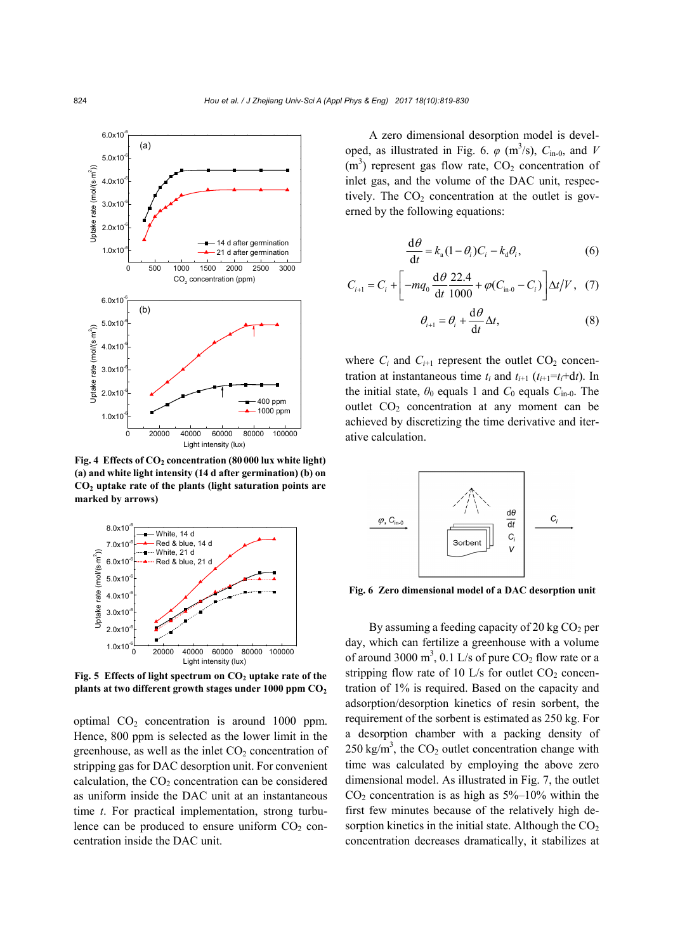

Fig. 4 Effects of CO<sub>2</sub> concentration (80 000 lux white light) **(a) and white light intensity (14 d after germination) (b) on CO2 uptake rate of the plants (light saturation points are marked by arrows)** 



Fig. 5 Effects of light spectrum on CO<sub>2</sub> uptake rate of the plants at two different growth stages under 1000 ppm  $CO<sub>2</sub>$ 

optimal  $CO<sub>2</sub>$  concentration is around 1000 ppm. Hence, 800 ppm is selected as the lower limit in the greenhouse, as well as the inlet  $CO<sub>2</sub>$  concentration of stripping gas for DAC desorption unit. For convenient calculation, the  $CO<sub>2</sub>$  concentration can be considered as uniform inside the DAC unit at an instantaneous time *t*. For practical implementation, strong turbulence can be produced to ensure uniform  $CO<sub>2</sub>$  concentration inside the DAC unit.

A zero dimensional desorption model is developed, as illustrated in Fig. 6.  $\varphi$  (m<sup>3</sup>/s),  $C_{\text{in-0}}$ , and *V*  $(m<sup>3</sup>)$  represent gas flow rate,  $CO<sub>2</sub>$  concentration of inlet gas, and the volume of the DAC unit, respectively. The  $CO<sub>2</sub>$  concentration at the outlet is governed by the following equations:

$$
\frac{\mathrm{d}\theta}{\mathrm{d}t} = k_{\mathrm{a}}(1-\theta_i)C_i - k_{\mathrm{d}}\theta_i,\tag{6}
$$

$$
C_{i+1} = C_i + \left[ -mq_0 \frac{d\theta}{dt} \frac{22.4}{1000} + \varphi (C_{\text{in-0}} - C_i) \right] \Delta t / V, \quad (7)
$$

$$
\theta_{i+1} = \theta_i + \frac{\mathrm{d}\theta}{\mathrm{d}t} \Delta t,\tag{8}
$$

where  $C_i$  and  $C_{i+1}$  represent the outlet  $CO_2$  concentration at instantaneous time  $t_i$  and  $t_{i+1}$  ( $t_{i+1} = t_i + dt$ ). In the initial state,  $\theta_0$  equals 1 and  $C_0$  equals  $C_{\text{in}-0}$ . The outlet CO<sub>2</sub> concentration at any moment can be achieved by discretizing the time derivative and iterative calculation.



**Fig. 6 Zero dimensional model of a DAC desorption unit**

By assuming a feeding capacity of 20 kg  $CO<sub>2</sub>$  per day, which can fertilize a greenhouse with a volume of around 3000 m<sup>3</sup>, 0.1 L/s of pure  $CO_2$  flow rate or a stripping flow rate of 10 L/s for outlet  $CO<sub>2</sub>$  concentration of 1% is required. Based on the capacity and adsorption/desorption kinetics of resin sorbent, the requirement of the sorbent is estimated as 250 kg. For a desorption chamber with a packing density of  $250 \text{ kg/m}^3$ , the CO<sub>2</sub> outlet concentration change with time was calculated by employing the above zero dimensional model. As illustrated in Fig. 7, the outlet  $CO<sub>2</sub>$  concentration is as high as  $5\%$ –10% within the first few minutes because of the relatively high desorption kinetics in the initial state. Although the  $CO<sub>2</sub>$ concentration decreases dramatically, it stabilizes at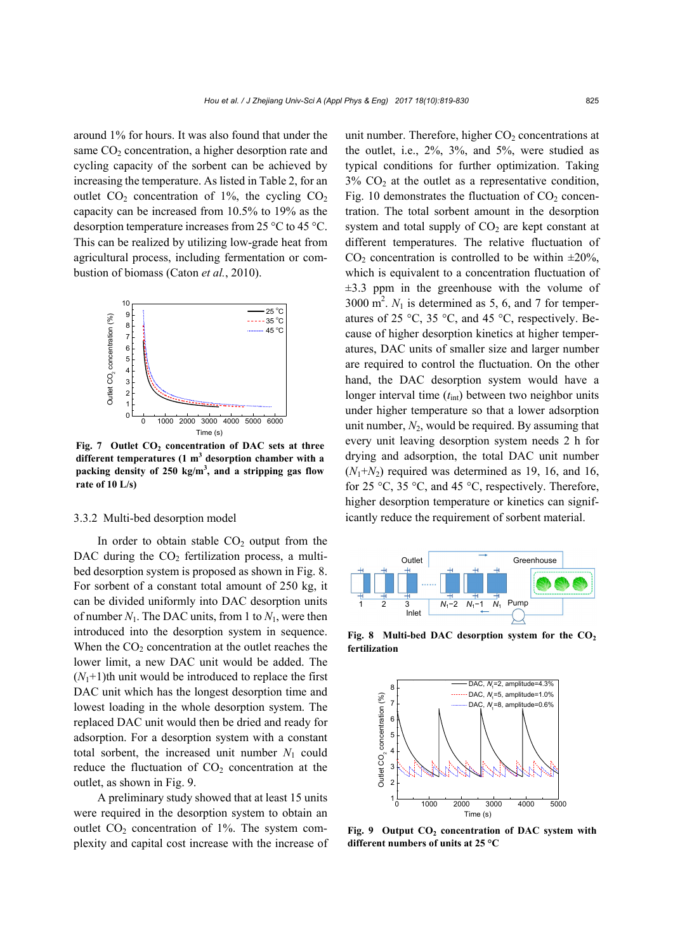around 1% for hours. It was also found that under the same  $CO<sub>2</sub>$  concentration, a higher desorption rate and cycling capacity of the sorbent can be achieved by increasing the temperature. As listed in Table 2, for an outlet  $CO<sub>2</sub>$  concentration of 1%, the cycling  $CO<sub>2</sub>$ capacity can be increased from 10.5% to 19% as the desorption temperature increases from 25 °C to 45 °C. This can be realized by utilizing low-grade heat from agricultural process, including fermentation or combustion of biomass (Caton *et al.*, 2010).



Fig. 7 Outlet CO<sub>2</sub> concentration of DAC sets at three different temperatures (1 m<sup>3</sup> desorption chamber with a **packing density of 250 kg/m3 , and a stripping gas flow rate of 10 L/s)**

#### 3.3.2 Multi-bed desorption model

In order to obtain stable  $CO<sub>2</sub>$  output from the DAC during the  $CO<sub>2</sub>$  fertilization process, a multibed desorption system is proposed as shown in Fig. 8. For sorbent of a constant total amount of 250 kg, it can be divided uniformly into DAC desorption units of number  $N_1$ . The DAC units, from 1 to  $N_1$ , were then introduced into the desorption system in sequence. When the  $CO<sub>2</sub>$  concentration at the outlet reaches the lower limit, a new DAC unit would be added. The  $(N_1+1)$ th unit would be introduced to replace the first DAC unit which has the longest desorption time and lowest loading in the whole desorption system. The replaced DAC unit would then be dried and ready for adsorption. For a desorption system with a constant total sorbent, the increased unit number  $N_1$  could reduce the fluctuation of  $CO<sub>2</sub>$  concentration at the outlet, as shown in Fig. 9.

A preliminary study showed that at least 15 units were required in the desorption system to obtain an outlet  $CO<sub>2</sub>$  concentration of 1%. The system complexity and capital cost increase with the increase of unit number. Therefore, higher  $CO<sub>2</sub>$  concentrations at the outlet, i.e., 2%, 3%, and 5%, were studied as typical conditions for further optimization. Taking  $3\%$  CO<sub>2</sub> at the outlet as a representative condition, Fig. 10 demonstrates the fluctuation of  $CO<sub>2</sub>$  concentration. The total sorbent amount in the desorption system and total supply of  $CO<sub>2</sub>$  are kept constant at different temperatures. The relative fluctuation of  $CO<sub>2</sub>$  concentration is controlled to be within  $\pm 20\%$ , which is equivalent to a concentration fluctuation of  $\pm$ 3.3 ppm in the greenhouse with the volume of  $3000 \text{ m}^2$ .  $N_1$  is determined as 5, 6, and 7 for temperatures of 25 °C, 35 °C, and 45 °C, respectively. Because of higher desorption kinetics at higher temperatures, DAC units of smaller size and larger number are required to control the fluctuation. On the other hand, the DAC desorption system would have a longer interval time ( $t<sub>int</sub>$ ) between two neighbor units under higher temperature so that a lower adsorption unit number, *N*2, would be required. By assuming that every unit leaving desorption system needs 2 h for drying and adsorption, the total DAC unit number  $(N_1+N_2)$  required was determined as 19, 16, and 16, for 25 °C, 35 °C, and 45 °C, respectively. Therefore, higher desorption temperature or kinetics can significantly reduce the requirement of sorbent material.



Fig. 8 Multi-bed DAC desorption system for the CO<sub>2</sub> **fertilization**



Fig. 9 Output CO<sub>2</sub> concentration of DAC system with **different numbers of units at 25 °C**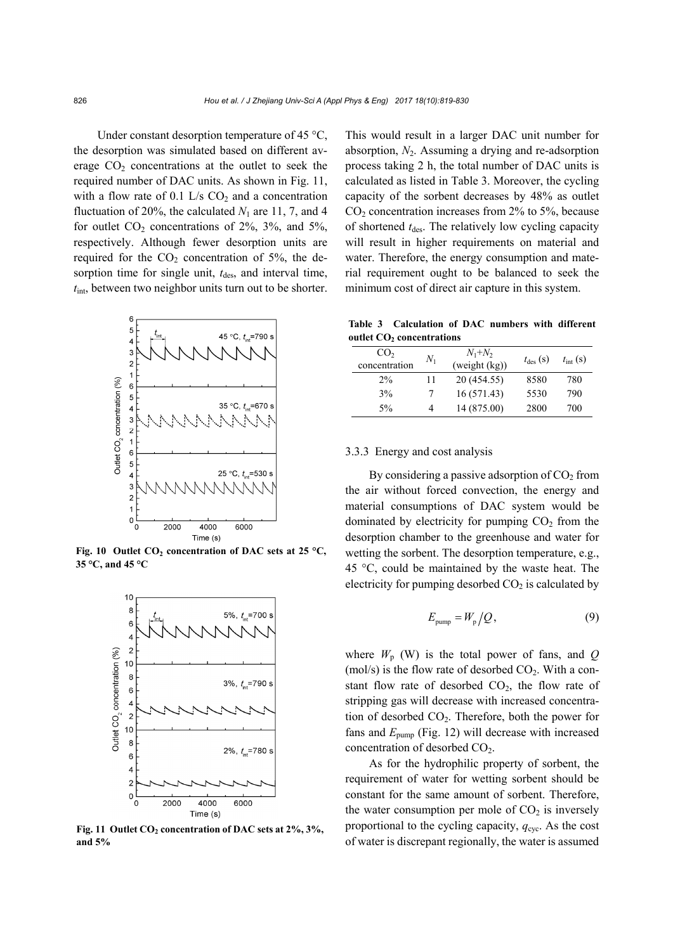Under constant desorption temperature of 45 °C, the desorption was simulated based on different average  $CO<sub>2</sub>$  concentrations at the outlet to seek the required number of DAC units. As shown in Fig. 11, with a flow rate of 0.1 L/s  $CO<sub>2</sub>$  and a concentration fluctuation of 20%, the calculated  $N_1$  are 11, 7, and 4 for outlet  $CO<sub>2</sub>$  concentrations of 2%, 3%, and 5%, respectively. Although fewer desorption units are required for the  $CO<sub>2</sub>$  concentration of 5%, the desorption time for single unit,  $t_{des}$ , and interval time, *t*int, between two neighbor units turn out to be shorter.



Fig. 10 Outlet CO<sub>2</sub> concentration of DAC sets at 25 °C, **35 °C, and 45 °C**



Fig. 11 Outlet CO<sub>2</sub> concentration of DAC sets at 2%, 3%, **and 5%**

This would result in a larger DAC unit number for absorption,  $N_2$ . Assuming a drying and re-adsorption process taking 2 h, the total number of DAC units is calculated as listed in Table 3. Moreover, the cycling capacity of the sorbent decreases by 48% as outlet  $CO<sub>2</sub>$  concentration increases from 2% to 5%, because of shortened  $t_{des}$ . The relatively low cycling capacity will result in higher requirements on material and water. Therefore, the energy consumption and material requirement ought to be balanced to seek the minimum cost of direct air capture in this system.

**Table 3 Calculation of DAC numbers with different outlet CO<sub>2</sub> concentrations** 

| CO <sub>2</sub><br>concentration | $N_1$ | $N_1+N_2$<br>(weight (kg)) | $t_{\text{des}}$ (S) | $t_{\text{int}}$ (s) |
|----------------------------------|-------|----------------------------|----------------------|----------------------|
| 2%                               | 11    | 20 (454.55)                | 8580                 | 780                  |
| 3%                               | 7     | 16(571.43)                 | 5530                 | 790                  |
| 5%                               | 4     | 14 (875.00)                | 2800                 | 700                  |

# 3.3.3 Energy and cost analysis

By considering a passive adsorption of  $CO<sub>2</sub>$  from the air without forced convection, the energy and material consumptions of DAC system would be dominated by electricity for pumping  $CO<sub>2</sub>$  from the desorption chamber to the greenhouse and water for wetting the sorbent. The desorption temperature, e.g., 45 °C, could be maintained by the waste heat. The electricity for pumping desorbed  $CO<sub>2</sub>$  is calculated by

$$
E_{\text{pump}} = W_{\text{p}} / Q, \qquad (9)
$$

where  $W_p$  (W) is the total power of fans, and  $Q$ (mol/s) is the flow rate of desorbed  $CO<sub>2</sub>$ . With a constant flow rate of desorbed  $CO<sub>2</sub>$ , the flow rate of stripping gas will decrease with increased concentration of desorbed  $CO<sub>2</sub>$ . Therefore, both the power for fans and *E*pump (Fig. 12) will decrease with increased concentration of desorbed  $CO<sub>2</sub>$ .

As for the hydrophilic property of sorbent, the requirement of water for wetting sorbent should be constant for the same amount of sorbent. Therefore, the water consumption per mole of  $CO<sub>2</sub>$  is inversely proportional to the cycling capacity,  $q_{\text{cyc}}$ . As the cost of water is discrepant regionally, the water is assumed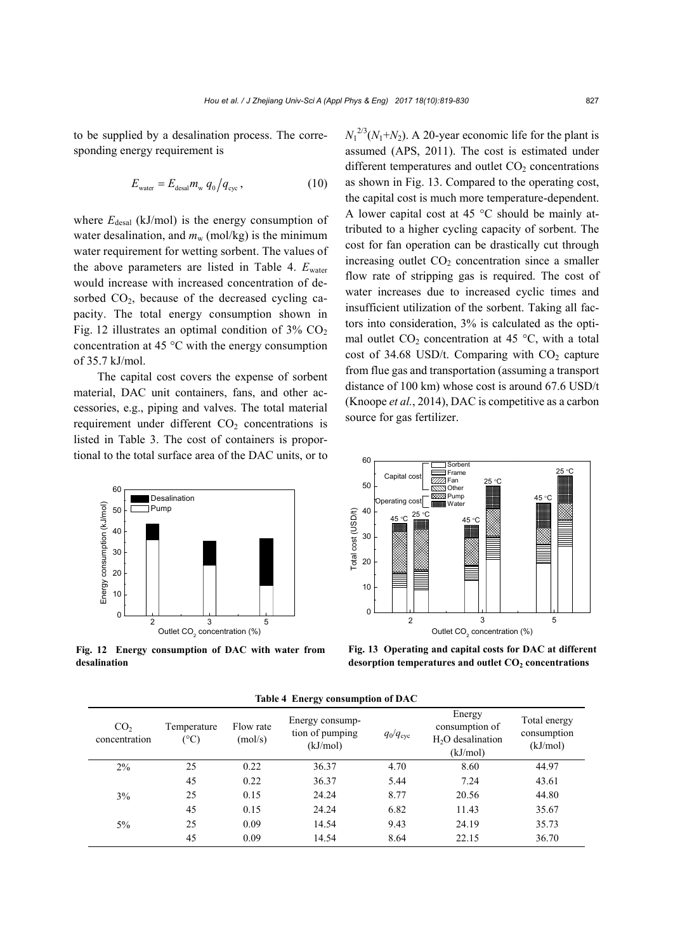to be supplied by a desalination process. The corresponding energy requirement is

$$
E_{\text{water}} = E_{\text{desal}} m_{\text{w}} q_0 / q_{\text{cyc}} , \qquad (10)
$$

where  $E_{\text{desal}}$  (kJ/mol) is the energy consumption of water desalination, and  $m_w$  (mol/kg) is the minimum water requirement for wetting sorbent. The values of the above parameters are listed in Table 4.  $E_{\text{water}}$ would increase with increased concentration of desorbed  $CO<sub>2</sub>$ , because of the decreased cycling capacity. The total energy consumption shown in Fig. 12 illustrates an optimal condition of  $3\%$  CO<sub>2</sub> concentration at 45 °C with the energy consumption of 35.7 kJ/mol.

The capital cost covers the expense of sorbent material, DAC unit containers, fans, and other accessories, e.g., piping and valves. The total material requirement under different  $CO<sub>2</sub>$  concentrations is listed in Table 3. The cost of containers is proportional to the total surface area of the DAC units, or to



**Fig. 12 Energy consumption of DAC with water from desalination**

 $N_1^{2/3}(N_1+N_2)$ . A 20-year economic life for the plant is assumed (APS, 2011). The cost is estimated under different temperatures and outlet  $CO<sub>2</sub>$  concentrations as shown in Fig. 13. Compared to the operating cost, the capital cost is much more temperature-dependent. A lower capital cost at 45 °C should be mainly attributed to a higher cycling capacity of sorbent. The cost for fan operation can be drastically cut through increasing outlet  $CO<sub>2</sub>$  concentration since a smaller flow rate of stripping gas is required. The cost of water increases due to increased cyclic times and insufficient utilization of the sorbent. Taking all factors into consideration, 3% is calculated as the optimal outlet  $CO<sub>2</sub>$  concentration at 45 °C, with a total cost of 34.68 USD/t. Comparing with  $CO<sub>2</sub>$  capture from flue gas and transportation (assuming a transport distance of 100 km) whose cost is around 67.6 USD/t (Knoope *et al.*, 2014), DAC is competitive as a carbon source for gas fertilizer.



**Fig. 13 Operating and capital costs for DAC at different**  desorption temperatures and outlet CO<sub>2</sub> concentrations

| CO <sub>2</sub><br>concentration | Temperature<br>$(^\circ C)$ | Flow rate<br>(mol/s) | Energy consump-<br>tion of pumping<br>(kJ/mol) | $q_0/q_{\rm cyc}$ | Energy<br>consumption of<br>H <sub>2</sub> O desalination<br>(kJ/mol) | Total energy<br>consumption<br>(kJ/mol) |
|----------------------------------|-----------------------------|----------------------|------------------------------------------------|-------------------|-----------------------------------------------------------------------|-----------------------------------------|
| 2%                               | 25                          | 0.22                 | 36.37                                          | 4.70              | 8.60                                                                  | 44.97                                   |
|                                  | 45                          | 0.22                 | 36.37                                          | 5.44              | 7.24                                                                  | 43.61                                   |
| 3%                               | 25                          | 0.15                 | 24.24                                          | 8.77              | 20.56                                                                 | 44.80                                   |
|                                  | 45                          | 0.15                 | 24.24                                          | 6.82              | 11.43                                                                 | 35.67                                   |
| $5\%$                            | 25                          | 0.09                 | 14.54                                          | 9.43              | 24.19                                                                 | 35.73                                   |
|                                  | 45                          | 0.09                 | 14.54                                          | 8.64              | 22.15                                                                 | 36.70                                   |

**Table 4 Energy consumption of DAC**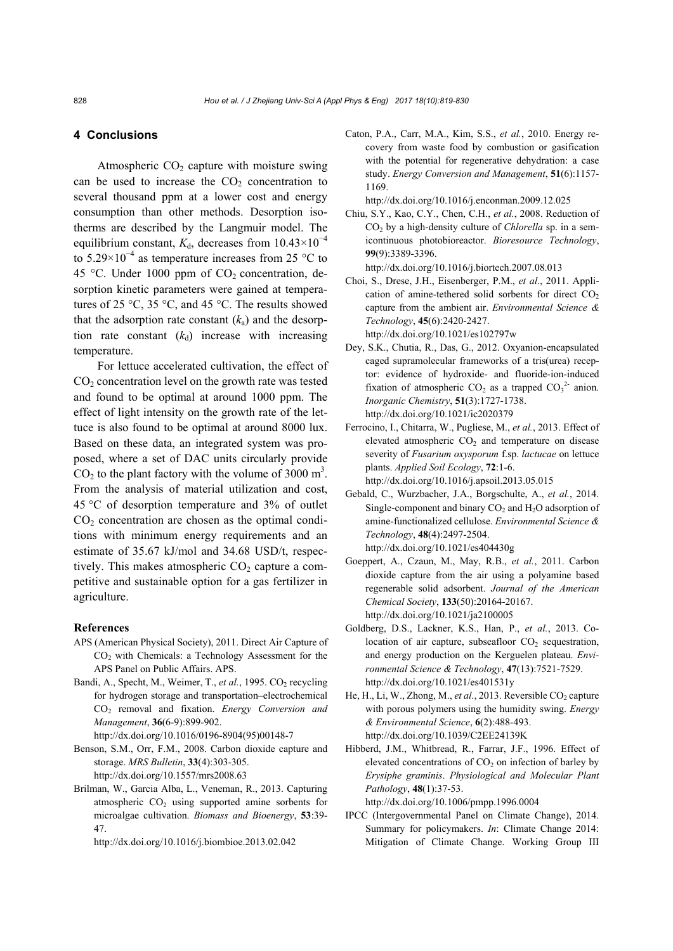# **4 Conclusions**

Atmospheric  $CO<sub>2</sub>$  capture with moisture swing can be used to increase the  $CO<sub>2</sub>$  concentration to several thousand ppm at a lower cost and energy consumption than other methods. Desorption isotherms are described by the Langmuir model. The equilibrium constant,  $K_d$ , decreases from 10.43×10<sup>-4</sup> to 5.29×10<sup>-4</sup> as temperature increases from 25 °C to 45 °C. Under 1000 ppm of  $CO<sub>2</sub>$  concentration, desorption kinetic parameters were gained at temperatures of 25 °C, 35 °C, and 45 °C. The results showed that the adsorption rate constant  $(k_a)$  and the desorption rate constant  $(k_d)$  increase with increasing temperature.

For lettuce accelerated cultivation, the effect of  $CO<sub>2</sub>$  concentration level on the growth rate was tested and found to be optimal at around 1000 ppm. The effect of light intensity on the growth rate of the lettuce is also found to be optimal at around 8000 lux. Based on these data, an integrated system was proposed, where a set of DAC units circularly provide  $CO<sub>2</sub>$  to the plant factory with the volume of 3000 m<sup>3</sup>. From the analysis of material utilization and cost, 45 °C of desorption temperature and 3% of outlet  $CO<sub>2</sub>$  concentration are chosen as the optimal conditions with minimum energy requirements and an estimate of 35.67 kJ/mol and 34.68 USD/t, respectively. This makes atmospheric  $CO<sub>2</sub>$  capture a competitive and sustainable option for a gas fertilizer in agriculture.

#### **References**

- APS (American Physical Society), 2011. Direct Air Capture of CO2 with Chemicals: a Technology Assessment for the APS Panel on Public Affairs. APS.
- Bandi, A., Specht, M., Weimer, T., *et al.*, 1995. CO<sub>2</sub> recycling for hydrogen storage and transportation–electrochemical CO2 removal and fixation. *Energy Conversion and Management*, **36**(6-9):899-902.

http://dx.doi.org/10.1016/0196-8904(95)00148-7

- Benson, S.M., Orr, F.M., 2008. Carbon dioxide capture and storage. *MRS Bulletin*, **33**(4):303-305. http://dx.doi.org/10.1557/mrs2008.63
- Brilman, W., Garcia Alba, L., Veneman, R., 2013. Capturing atmospheric  $CO<sub>2</sub>$  using supported amine sorbents for microalgae cultivation. *Biomass and Bioenergy*, **53**:39- 47.

http://dx.doi.org/10.1016/j.biombioe.2013.02.042

Caton, P.A., Carr, M.A., Kim, S.S., *et al.*, 2010. Energy recovery from waste food by combustion or gasification with the potential for regenerative dehydration: a case study. *Energy Conversion and Management*, **51**(6):1157- 1169.

http://dx.doi.org/10.1016/j.enconman.2009.12.025

Chiu, S.Y., Kao, C.Y., Chen, C.H., *et al.*, 2008. Reduction of CO<sub>2</sub> by a high-density culture of *Chlorella* sp. in a semicontinuous photobioreactor. *Bioresource Technology*, **99**(9):3389-3396.

http://dx.doi.org/10.1016/j.biortech.2007.08.013

Choi, S., Drese, J.H., Eisenberger, P.M., *et al*., 2011. Application of amine-tethered solid sorbents for direct  $CO<sub>2</sub>$ capture from the ambient air. *Environmental Science & Technology*, **45**(6):2420-2427. http://dx.doi.org/10.1021/es102797w

Dey, S.K., Chutia, R., Das, G., 2012. Oxyanion-encapsulated

- caged supramolecular frameworks of a tris(urea) receptor: evidence of hydroxide- and fluoride-ion-induced fixation of atmospheric  $CO_2$  as a trapped  $CO_3^2$  anion. *Inorganic Chemistry*, **51**(3):1727-1738. http://dx.doi.org/10.1021/ic2020379
- Ferrocino, I., Chitarra, W., Pugliese, M., *et al.*, 2013. Effect of elevated atmospheric  $CO<sub>2</sub>$  and temperature on disease severity of *Fusarium oxysporum* f.sp. *lactucae* on lettuce plants. *Applied Soil Ecology*, **72**:1-6. http://dx.doi.org/10.1016/j.apsoil.2013.05.015
- Gebald, C., Wurzbacher, J.A., Borgschulte, A., *et al.*, 2014. Single-component and binary  $CO<sub>2</sub>$  and  $H<sub>2</sub>O$  adsorption of amine-functionalized cellulose. *Environmental Science & Technology*, **48**(4):2497-2504. http://dx.doi.org/10.1021/es404430g
- Goeppert, A., Czaun, M., May, R.B., *et al.*, 2011. Carbon dioxide capture from the air using a polyamine based regenerable solid adsorbent. *Journal of the American Chemical Society*, **133**(50):20164-20167. http://dx.doi.org/10.1021/ja2100005
- Goldberg, D.S., Lackner, K.S., Han, P., *et al.*, 2013. Colocation of air capture, subseafloor  $CO<sub>2</sub>$  sequestration, and energy production on the Kerguelen plateau. *Environmental Science & Technology*, **47**(13):7521-7529. http://dx.doi.org/10.1021/es401531y
- He, H., Li, W., Zhong, M., et al., 2013. Reversible CO<sub>2</sub> capture with porous polymers using the humidity swing. *Energy & Environmental Science*, **6**(2):488-493. http://dx.doi.org/10.1039/C2EE24139K
- Hibberd, J.M., Whitbread, R., Farrar, J.F., 1996. Effect of elevated concentrations of  $CO<sub>2</sub>$  on infection of barley by *Erysiphe graminis*. *Physiological and Molecular Plant Pathology*, **48**(1):37-53.

http://dx.doi.org/10.1006/pmpp.1996.0004

IPCC (Intergovernmental Panel on Climate Change), 2014. Summary for policymakers. *In*: Climate Change 2014: Mitigation of Climate Change. Working Group III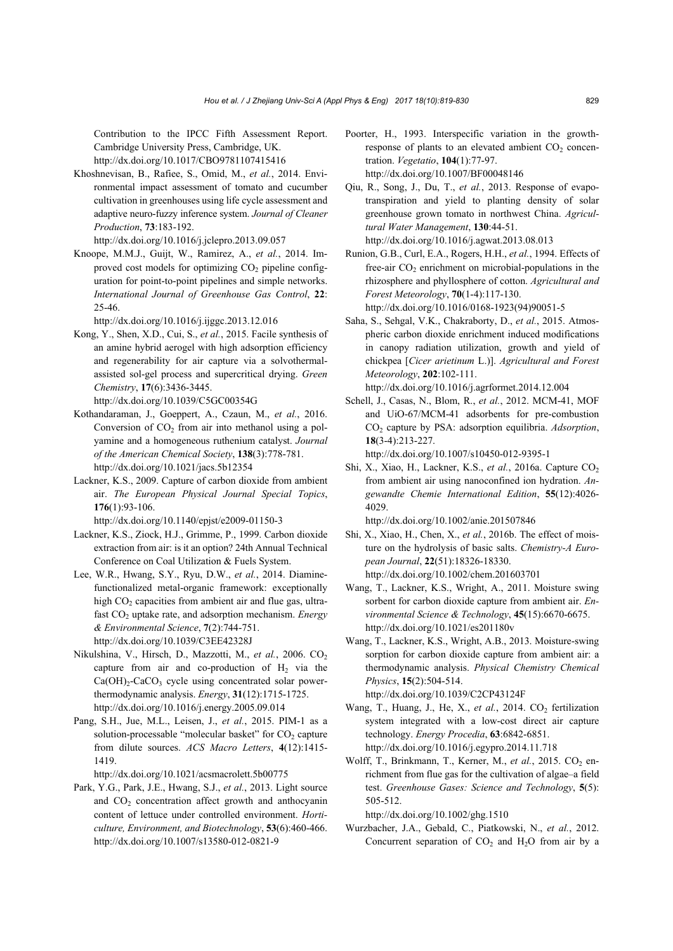Contribution to the IPCC Fifth Assessment Report. Cambridge University Press, Cambridge, UK. http://dx.doi.org/10.1017/CBO9781107415416

Khoshnevisan, B., Rafiee, S., Omid, M., *et al.*, 2014. Environmental impact assessment of tomato and cucumber cultivation in greenhouses using life cycle assessment and adaptive neuro-fuzzy inference system. *Journal of Cleaner Production*, **73**:183-192.

http://dx.doi.org/10.1016/j.jclepro.2013.09.057

Knoope, M.M.J., Guijt, W., Ramirez, A., *et al.*, 2014. Improved cost models for optimizing  $CO<sub>2</sub>$  pipeline configuration for point-to-point pipelines and simple networks. *International Journal of Greenhouse Gas Control*, **22**: 25-46.

http://dx.doi.org/10.1016/j.ijggc.2013.12.016

Kong, Y., Shen, X.D., Cui, S., *et al.*, 2015. Facile synthesis of an amine hybrid aerogel with high adsorption efficiency and regenerability for air capture via a solvothermalassisted sol-gel process and supercritical drying. *Green Chemistry*, **17**(6):3436-3445.

http://dx.doi.org/10.1039/C5GC00354G

- Kothandaraman, J., Goeppert, A., Czaun, M., *et al.*, 2016. Conversion of  $CO<sub>2</sub>$  from air into methanol using a polyamine and a homogeneous ruthenium catalyst. *Journal of the American Chemical Society*, **138**(3):778-781. http://dx.doi.org/10.1021/jacs.5b12354
- Lackner, K.S., 2009. Capture of carbon dioxide from ambient air. *The European Physical Journal Special Topics*, **176**(1):93-106.

http://dx.doi.org/10.1140/epjst/e2009-01150-3

- Lackner, K.S., Ziock, H.J., Grimme, P., 1999. Carbon dioxide extraction from air: is it an option? 24th Annual Technical Conference on Coal Utilization & Fuels System.
- Lee, W.R., Hwang, S.Y., Ryu, D.W., *et al.*, 2014. Diaminefunctionalized metal-organic framework: exceptionally high  $CO<sub>2</sub>$  capacities from ambient air and flue gas, ultrafast CO<sub>2</sub> uptake rate, and adsorption mechanism. *Energy & Environmental Science*, **7**(2):744-751. http://dx.doi.org/10.1039/C3EE42328J
- Nikulshina, V., Hirsch, D., Mazzotti, M., et al., 2006. CO<sub>2</sub> capture from air and co-production of  $H<sub>2</sub>$  via the  $Ca(OH)<sub>2</sub>-CaCO<sub>3</sub>$  cycle using concentrated solar powerthermodynamic analysis. *Energy*, **31**(12):1715-1725. http://dx.doi.org/10.1016/j.energy.2005.09.014
- Pang, S.H., Jue, M.L., Leisen, J., *et al.*, 2015. PIM-1 as a solution-processable "molecular basket" for  $CO<sub>2</sub>$  capture from dilute sources. *ACS Macro Letters*, **4**(12):1415- 1419.

http://dx.doi.org/10.1021/acsmacrolett.5b00775

Park, Y.G., Park, J.E., Hwang, S.J., *et al.*, 2013. Light source and  $CO<sub>2</sub>$  concentration affect growth and anthocyanin content of lettuce under controlled environment. *Horticulture, Environment, and Biotechnology*, **53**(6):460-466. http://dx.doi.org/10.1007/s13580-012-0821-9

- Poorter, H., 1993. Interspecific variation in the growthresponse of plants to an elevated ambient  $CO<sub>2</sub>$  concentration. *Vegetatio*, **104**(1):77-97. http://dx.doi.org/10.1007/BF00048146
- Qiu, R., Song, J., Du, T., *et al.*, 2013. Response of evapotranspiration and yield to planting density of solar greenhouse grown tomato in northwest China. *Agricultural Water Management*, **130**:44-51. http://dx.doi.org/10.1016/j.agwat.2013.08.013
- Runion, G.B., Curl, E.A., Rogers, H.H., *et al.*, 1994. Effects of free-air  $CO<sub>2</sub>$  enrichment on microbial-populations in the rhizosphere and phyllosphere of cotton. *Agricultural and Forest Meteorology*, **70**(1-4):117-130. http://dx.doi.org/10.1016/0168-1923(94)90051-5
- Saha, S., Sehgal, V.K., Chakraborty, D., *et al.*, 2015. Atmospheric carbon dioxide enrichment induced modifications in canopy radiation utilization, growth and yield of chickpea [*Cicer arietinum* L.)]. *Agricultural and Forest Meteorology*, **202**:102-111. http://dx.doi.org/10.1016/j.agrformet.2014.12.004
- Schell, J., Casas, N., Blom, R., *et al.*, 2012. MCM-41, MOF and UiO-67/MCM-41 adsorbents for pre-combustion CO<sub>2</sub> capture by PSA: adsorption equilibria. *Adsorption*, **18**(3-4):213-227.

http://dx.doi.org/10.1007/s10450-012-9395-1

Shi, X., Xiao, H., Lackner, K.S., *et al.*, 2016a. Capture CO<sub>2</sub> from ambient air using nanoconfined ion hydration. *Angewandte Chemie International Edition*, **55**(12):4026- 4029.

http://dx.doi.org/10.1002/anie.201507846

- Shi, X., Xiao, H., Chen, X., *et al.*, 2016b. The effect of moisture on the hydrolysis of basic salts. *Chemistry-A European Journal*, **22**(51):18326-18330. http://dx.doi.org/10.1002/chem.201603701
- Wang, T., Lackner, K.S., Wright, A., 2011. Moisture swing sorbent for carbon dioxide capture from ambient air. *Environmental Science & Technology*, **45**(15):6670-6675. http://dx.doi.org/10.1021/es201180v
- Wang, T., Lackner, K.S., Wright, A.B., 2013. Moisture-swing sorption for carbon dioxide capture from ambient air: a thermodynamic analysis. *Physical Chemistry Chemical Physics*, **15**(2):504-514. http://dx.doi.org/10.1039/C2CP43124F
- Wang, T., Huang, J., He, X., et al., 2014. CO<sub>2</sub> fertilization system integrated with a low-cost direct air capture technology. *Energy Procedia*, **63**:6842-6851. http://dx.doi.org/10.1016/j.egypro.2014.11.718
- Wolff, T., Brinkmann, T., Kerner, M., et al., 2015. CO<sub>2</sub> enrichment from flue gas for the cultivation of algae–a field test. *Greenhouse Gases: Science and Technology*, **5**(5): 505-512.

http://dx.doi.org/10.1002/ghg.1510

Wurzbacher, J.A., Gebald, C., Piatkowski, N., *et al.*, 2012. Concurrent separation of  $CO<sub>2</sub>$  and  $H<sub>2</sub>O$  from air by a